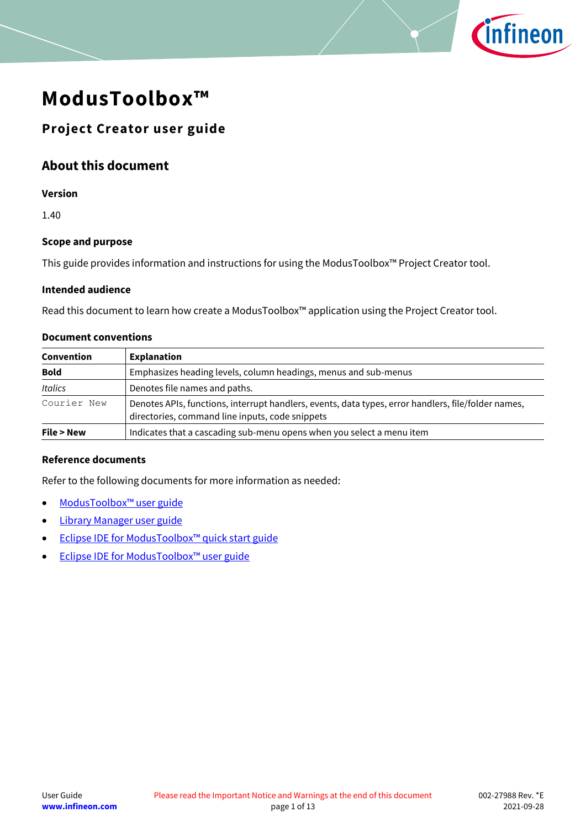

# **ModusToolbox™**

# **Project Creator user guide**

# **About this document**

#### **Version**

1.40

### **Scope and purpose**

This guide provides information and instructions for using the ModusToolbox™ Project Creator tool.

#### **Intended audience**

Read this document to learn how create a ModusToolbox™ application using the Project Creator tool.

#### **Document conventions**

| <b>Explanation</b><br>Convention |                                                                                                                                                        |
|----------------------------------|--------------------------------------------------------------------------------------------------------------------------------------------------------|
| <b>Bold</b>                      | Emphasizes heading levels, column headings, menus and sub-menus                                                                                        |
| <b>Italics</b>                   | Denotes file names and paths.                                                                                                                          |
| Courier New                      | Denotes APIs, functions, interrupt handlers, events, data types, error handlers, file/folder names,<br>directories, command line inputs, code snippets |
| File > New                       | Indicates that a cascading sub-menu opens when you select a menu item                                                                                  |

#### **Reference documents**

Refer to the following documents for more information as needed:

- [ModusToolbox](https://www.cypress.com/ModusToolboxUserGuide)™ user guide
- [Library Manager user guide](https://www.cypress.com/ModusToolboxLibraryManager)
- Eclipse IDE for [ModusToolbox™ q](http://www.cypress.com/ModusToolboxQSG)uick start guide
- Eclipse IDE for [ModusToolbox™ u](http://www.cypress.com/ModusToolboxUserGuide)ser guide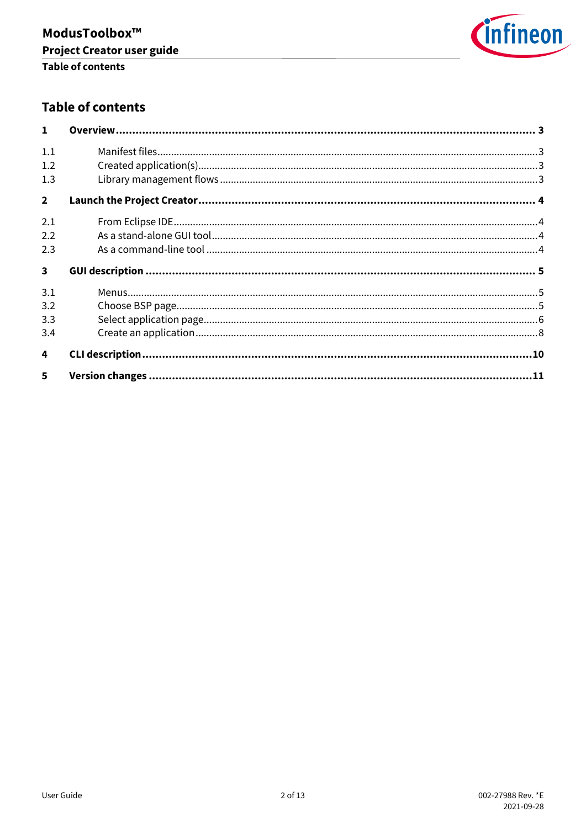

# **Table of contents**

| $\mathbf{1}$            |  |
|-------------------------|--|
| 1.1                     |  |
| 1.2                     |  |
| 1.3                     |  |
| $\overline{2}$          |  |
| 2.1                     |  |
| 2.2                     |  |
| 2.3                     |  |
| $\overline{\mathbf{3}}$ |  |
| 3.1                     |  |
| 3.2                     |  |
| 3.3                     |  |
| 3.4                     |  |
| 4                       |  |
| 5                       |  |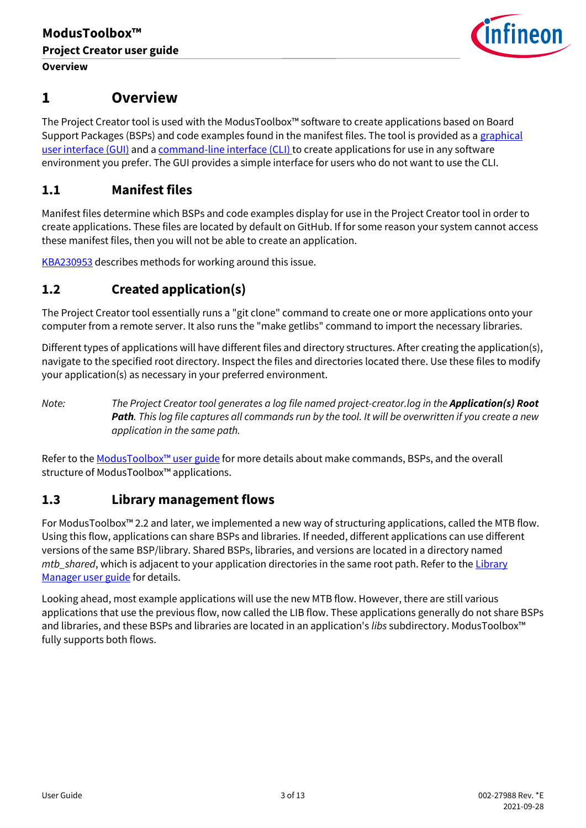

# <span id="page-2-0"></span>**1 Overview**

The Project Creator tool is used with the ModusToolbox™ software to create applications based on Board Support Packages (BSPs) and code examples found in the manifest files. The tool is provided as a [graphical](#page-4-0)  [user interface \(GUI\)](#page-4-0) and a [command-line interface \(CLI\)](#page-9-0) to create applications for use in any software environment you prefer. The GUI provides a simple interface for users who do not want to use the CLI.

# <span id="page-2-1"></span>**1.1 Manifest files**

Manifest files determine which BSPs and code examples display for use in the Project Creator tool in order to create applications. These files are located by default on GitHub. If for some reason your system cannot access these manifest files, then you will not be able to create an application.

[KBA230953](https://community.cypress.com/t5/Knowledge-Base-Articles/Offloading-the-Manifest-Files-of-ModusToolbox-KBA230953/ta-p/252973) describes methods for working around this issue.

# <span id="page-2-2"></span>**1.2 Created application(s)**

The Project Creator tool essentially runs a "git clone" command to create one or more applications onto your computer from a remote server. It also runs the "make getlibs" command to import the necessary libraries.

Different types of applications will have different files and directory structures. After creating the application(s), navigate to the specified root directory. Inspect the files and directories located there. Use these files to modify your application(s) as necessary in your preferred environment.

*Note: The Project Creator tool generates a log file named project-creator.log in the Application(s) Root Path. This log file captures all commands run by the tool. It will be overwritten if you create a new application in the same path.*

Refer to the [ModusToolbox™ u](https://www.cypress.com/ModusToolboxUserGuide)ser guide for more details about make commands, BSPs, and the overall structure of ModusToolbox™ applications.

# <span id="page-2-3"></span>**1.3 Library management flows**

For ModusToolbox™ 2.2 and later, we implemented a new way of structuring applications, called the MTB flow. Using this flow, applications can share BSPs and libraries. If needed, different applications can use different versions of the same BSP/library. Shared BSPs, libraries, and versions are located in a directory named *mtb\_shared*, which is adjacent to your application directories in the same root path. Refer to the *Library* [Manager user guide](https://www.cypress.com/ModusToolboxLibraryManager) for details.

Looking ahead, most example applications will use the new MTB flow. However, there are still various applications that use the previous flow, now called the LIB flow. These applications generally do not share BSPs and libraries, and these BSPs and libraries are located in an application's *libs* subdirectory. ModusToolbox™ fully supports both flows.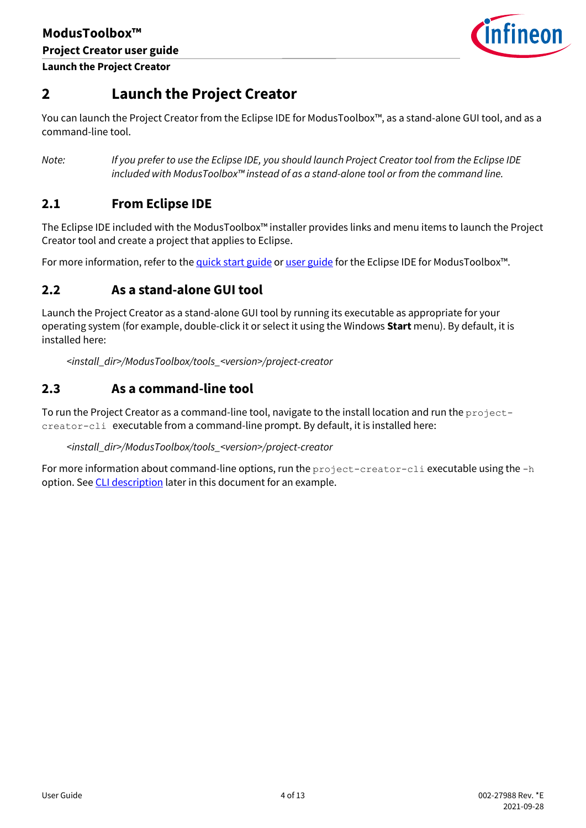

# <span id="page-3-0"></span>**2 Launch the Project Creator**

You can launch the Project Creator from the Eclipse IDE for ModusToolbox™, as a stand-alone GUI tool, and as a command-line tool.

*Note: If you prefer to use the Eclipse IDE, you should launch Project Creator tool from the Eclipse IDE included with ModusToolbox™ instead of as a stand-alone tool or from the command line.*

# <span id="page-3-1"></span>**2.1 From Eclipse IDE**

The Eclipse IDE included with the ModusToolbox™ installer provides links and menu items to launch the Project Creator tool and create a project that applies to Eclipse.

For more information, refer to th[e quick start guide](http://www.cypress.com/ModusToolboxQSG) o[r user guide](http://www.cypress.com/ModusToolboxUserGuide) for the Eclipse IDE for ModusToolbox™.

# <span id="page-3-2"></span>**2.2 As a stand-alone GUI tool**

Launch the Project Creator as a stand-alone GUI tool by running its executable as appropriate for your operating system (for example, double-click it or select it using the Windows **Start** menu). By default, it is installed here:

*<install\_dir>/ModusToolbox/tools\_<version>/project-creator*

# <span id="page-3-3"></span>**2.3 As a command-line tool**

To run the Project Creator as a command-line tool, navigate to the install location and run the projectcreator-cli executable from a command-line prompt. By default, it is installed here:

### *<install\_dir>/ModusToolbox/tools\_<version>/project-creator*

For more information about command-line options, run the  $\text{project-creation-cli}$  executable using the  $-h$ option. See [CLI description](#page-9-0) later in this document for an example.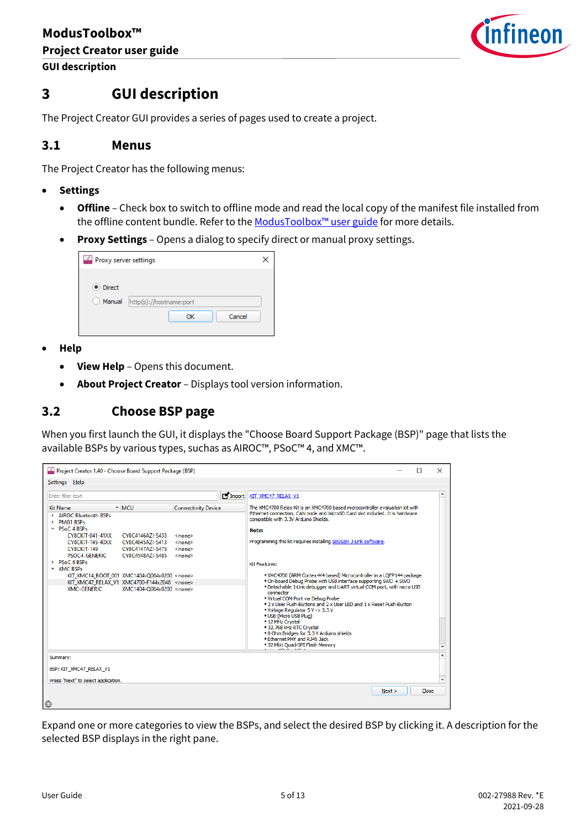

**GUI description**

# <span id="page-4-0"></span>**3 GUI description**

The Project Creator GUI provides a series of pages used to create a project.

### <span id="page-4-1"></span>**3.1 Menus**

The Project Creator has the following menus:

- **Settings** 
	- **Offline** Check box to switch to offline mode and read the local copy of the manifest file installed from the offline content bundle. Refer to the ModusToolbox<sup>™</sup> user guide for more details.
	- **Proxy Settings** Opens a dialog to specify direct or manual proxy settings.

| $\mathbb{X}$ Proxy server settings |                         |  |
|------------------------------------|-------------------------|--|
| · Direct<br>Manual                 | http(s)://hostname:port |  |
|                                    | Cancel<br>OK            |  |

- **Help** 
	- **View Help** Opens this document.
	- **About Project Creator** Displays tool version information.

### <span id="page-4-2"></span>**3.2 Choose BSP page**

When you first launch the GUI, it displays the "Choose Board Support Package (BSP)" page that lists the available BSPs by various types, suchas as AIROC™, PSoC™ 4, and XMC™.

| Project Creator 1.40 - Choose Board Support Package (BSP)                                                                                                                                                                                                                                                              |                                                                                                                            | п                                                                                                                                                                                                                                                                                                                                                                                                                                                                                                                                                                                               | $\times$ |
|------------------------------------------------------------------------------------------------------------------------------------------------------------------------------------------------------------------------------------------------------------------------------------------------------------------------|----------------------------------------------------------------------------------------------------------------------------|-------------------------------------------------------------------------------------------------------------------------------------------------------------------------------------------------------------------------------------------------------------------------------------------------------------------------------------------------------------------------------------------------------------------------------------------------------------------------------------------------------------------------------------------------------------------------------------------------|----------|
| Settings Help                                                                                                                                                                                                                                                                                                          |                                                                                                                            |                                                                                                                                                                                                                                                                                                                                                                                                                                                                                                                                                                                                 |          |
| Enter filter text<br>$\triangle$ MCU<br><b>Kit Name</b><br>AIROC Bluetooth BSPs<br><b>PMG1 BSPs</b><br>$\overline{P}$ PSoC 4 BSPs<br><b>CY8CKIT-041-41XX</b><br>CY8C4146AZI-S433<br><b>CY8CKIT-145-40XX</b><br>CY8C4045AZI-S413<br>CY8C4147AZI-S475<br>CY8CKIT-149<br>PSOC4-GENERIC<br>CY8C4548AZI-S485<br>PSoC 6 BSPs | $\blacksquare$ Import<br><b>Connectivity Device</b><br><none><br/><none><br/><none><br/><none></none></none></none></none> | KIT XMC47 RELAX V1<br>The XMC4700 Relax Kit is an XMC4700 based microcontroller evaluation kit with<br>Ethernet connection, CAN node and microSD Card slot included. It is hardware<br>compatible with 3.3V Arduino Shields.<br>Note:<br>Programming this kit requires installing SEGGER J-Link software.                                                                                                                                                                                                                                                                                       | ▲        |
| $\overline{\phantom{a}}$ XMC BSPs<br>KIT XMC14 BOOT 001 XMC1404-Q064x0200 <none><br/>KIT XMC47 RELAX V1 XMC4700-F144x2048 <none><br/><b>XMC-GENERIC</b><br/>XMC1404-Q064x0200 <none></none></none></none>                                                                                                              |                                                                                                                            | <b>Kit Features:</b><br>. XMC4700 (ARM Cortex-M4 based) Microcontroller in a LOFP144 package<br>. On-board Debug Probe with USB interface supporting SWD + SWO<br>. Detachable J-Link debugger and UART virtual COM port, with micro USB<br>connector<br>. Virtual COM Port via Debug Probe<br>. 2 x User Push-Buttons and 2 x User LED and 1 x Reset Push-Button<br>. Voltage Regulator 5 V -> 3.3 V<br>· USB (Micro USB Plug)<br>. 12 MHz Crystal<br>• 32.768 kHz RTC Crystal<br>. 0 Ohm Bridges for 3.3 V Arduino shields<br>. Ethernet PHY and RJ45 Jack<br>. 32 Mbit Quad-SPI Flash Memory | ٠        |
| Summary:<br>BSP: KIT_XMC47_RELAX_V1<br>Press "Next" to select application.                                                                                                                                                                                                                                             |                                                                                                                            |                                                                                                                                                                                                                                                                                                                                                                                                                                                                                                                                                                                                 | $\cdot$  |
| $\bigoplus$                                                                                                                                                                                                                                                                                                            |                                                                                                                            | Next                                                                                                                                                                                                                                                                                                                                                                                                                                                                                                                                                                                            | Close    |

Expand one or more categories to view the BSPs, and select the desired BSP by clicking it. A description for the selected BSP displays in the right pane.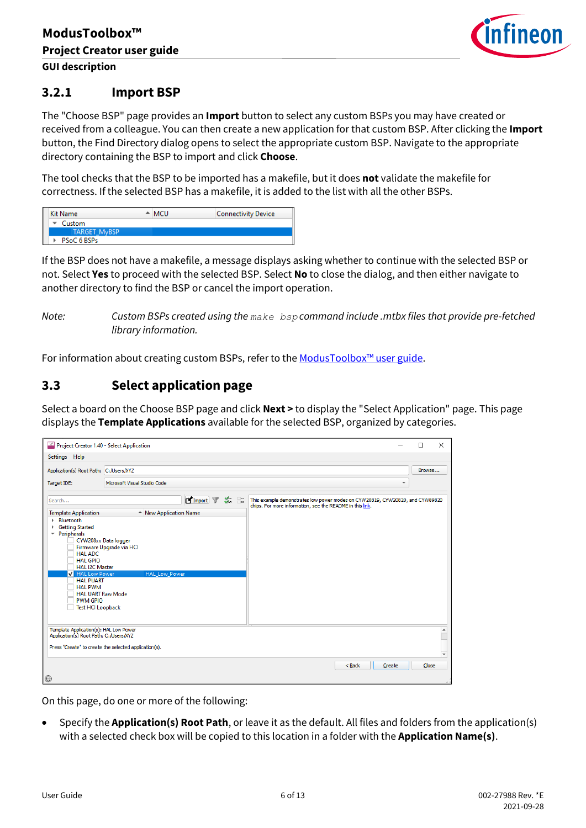

### **3.2.1 Import BSP**

The "Choose BSP" page provides an **Import** button to select any custom BSPs you may have created or received from a colleague. You can then create a new application for that custom BSP. After clicking the **Import** button, the Find Directory dialog opens to select the appropriate custom BSP. Navigate to the appropriate directory containing the BSP to import and click **Choose**.

The tool checks that the BSP to be imported has a makefile, but it does **not** validate the makefile for correctness. If the selected BSP has a makefile, it is added to the list with all the other BSPs.

| Kit Name            |  | $\triangle$ MCU | <b>Connectivity Device</b> |
|---------------------|--|-----------------|----------------------------|
| Custom              |  |                 |                            |
| <b>TARGET MyBSP</b> |  |                 |                            |
| PSoC 6 BSPs         |  |                 |                            |

If the BSP does not have a makefile, a message displays asking whether to continue with the selected BSP or not. Select **Yes** to proceed with the selected BSP. Select **No** to close the dialog, and then either navigate to another directory to find the BSP or cancel the import operation.

*Note: Custom BSPs created using the make bsp command include .mtbx files that provide pre-fetched library information.* 

For information about creating custom BSPs, refer to the ModusToolbox<sup>™</sup> user guide.

# <span id="page-5-0"></span>**3.3 Select application page**

Select a board on the Choose BSP page and click **Next >** to display the "Select Application" page. This page displays the **Template Applications** available for the selected BSP, organized by categories.

| Project Creator 1.40 - Select Application                                                                                                                                                                                                                                               |                                                                          | X<br>П                                                                                                                                     |
|-----------------------------------------------------------------------------------------------------------------------------------------------------------------------------------------------------------------------------------------------------------------------------------------|--------------------------------------------------------------------------|--------------------------------------------------------------------------------------------------------------------------------------------|
| Settings Help                                                                                                                                                                                                                                                                           |                                                                          |                                                                                                                                            |
| Application(s) Root Path: C:/Users/XYZ                                                                                                                                                                                                                                                  |                                                                          | Browse                                                                                                                                     |
| Target IDE:                                                                                                                                                                                                                                                                             | Microsoft Visual Studio Code                                             |                                                                                                                                            |
| Search                                                                                                                                                                                                                                                                                  | <b>Eximport</b> 了 第 品                                                    | This example demonstrates low power modes on CYW20819, CYW20820, and CYW89820<br>chips. For more information, see the README in this link. |
| <b>Template Application</b>                                                                                                                                                                                                                                                             | - New Application Name                                                   |                                                                                                                                            |
| Bluetooth<br><b>Getting Started</b><br>Peripherals<br>$\overline{\phantom{a}}$<br><b>HAL ADC</b><br><b>HAL GPIO</b><br><b>HAL I2C Master</b><br><b>V</b> HAL Low Power<br><b>HAL PUART</b><br><b>HAL PWM</b><br><b>HAL UART Raw Mode</b><br><b>PWM GPIO</b><br><b>Test HCI Loopback</b> | CYW208xx Data logger<br>Firmware Upgrade via HCI<br><b>HAL Low Power</b> |                                                                                                                                            |
| Template Application(s): HAL Low Power<br>Application(s) Root Path: C:/Users/XYZ                                                                                                                                                                                                        | Press "Create" to create the selected application(s).                    | $\overline{\phantom{a}}$                                                                                                                   |
| $\bigoplus$                                                                                                                                                                                                                                                                             |                                                                          | $Back$<br>Create<br>Close                                                                                                                  |

On this page, do one or more of the following:

• Specify the **Application(s) Root Path**, or leave it as the default. All files and folders from the application(s) with a selected check box will be copied to this location in a folder with the **Application Name(s)**.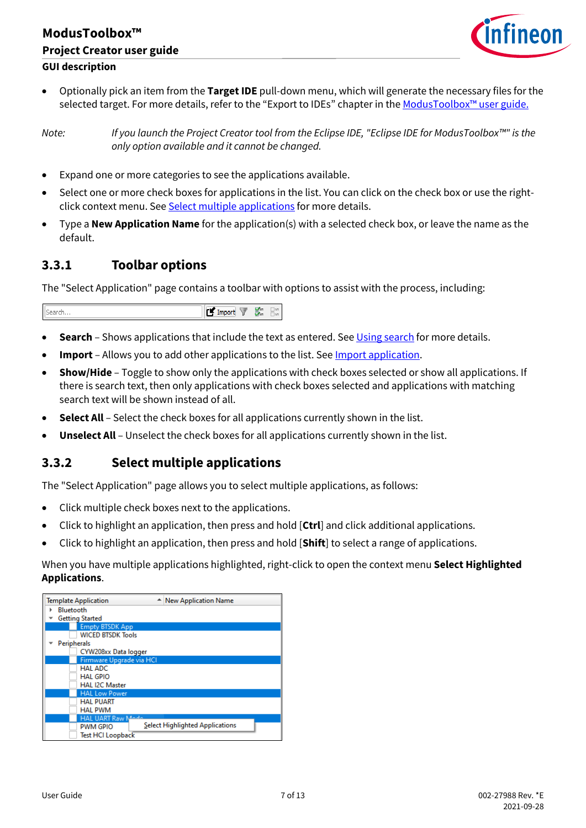# **ModusToolbox™ Project Creator user guide GUI description**



• Optionally pick an item from the **Target IDE** pull-down menu, which will generate the necessary files for the selected target. For more details, refer to the "Export to IDEs" chapter in th[e ModusToolbox™](https://www.cypress.com/ModusToolboxUserGuide) user guide.

*Note: If you launch the Project Creator tool from the Eclipse IDE, "Eclipse IDE for ModusToolbox™" is the only option available and it cannot be changed.*

- Expand one or more categories to see the applications available.
- Select one or more check boxes for applications in the list. You can click on the check box or use the rightclick context menu. Se[e Select multiple applications](#page-6-0) for more details.
- Type a **New Application Name** for the application(s) with a selected check box, or leave the name as the default.

# **3.3.1 Toolbar options**

The "Select Application" page contains a toolbar with options to assist with the process, including:

| Search | <b>TV</b> Import<br>똜.<br>457<br>TER. |
|--------|---------------------------------------|
|--------|---------------------------------------|

- **Search** Shows applications that include the text as entered. Se[e Using search](#page-7-1) for more details.
- **Import** Allows you to add other applications to the list. Se[e Import application.](#page-7-2)
- **Show/Hide**  Toggle to show only the applications with check boxes selected or show all applications. If there is search text, then only applications with check boxes selected and applications with matching search text will be shown instead of all.
- **Select All** Select the check boxes for all applications currently shown in the list.
- **Unselect All** Unselect the check boxes for all applications currently shown in the list.

# <span id="page-6-0"></span>**3.3.2 Select multiple applications**

The "Select Application" page allows you to select multiple applications, as follows:

- Click multiple check boxes next to the applications.
- Click to highlight an application, then press and hold [**Ctrl**] and click additional applications.
- Click to highlight an application, then press and hold [**Shift**] to select a range of applications.

When you have multiple applications highlighted, right-click to open the context menu **Select Highlighted Applications**.

| <b>Template Application</b> | <b>New Application Name</b>            |
|-----------------------------|----------------------------------------|
| Bluetooth<br>۱              |                                        |
| <b>Getting Started</b>      |                                        |
| <b>Empty BTSDK App</b>      |                                        |
| <b>WICED BTSDK Tools</b>    |                                        |
| Peripherals                 |                                        |
| CYW208xx Data logger        |                                        |
| Firmware Upgrade via HCI    |                                        |
| <b>HAL ADC</b>              |                                        |
| <b>HAL GPIO</b>             |                                        |
| <b>HAL I2C Master</b>       |                                        |
| <b>HAL Low Power</b>        |                                        |
| <b>HAL PUART</b>            |                                        |
| <b>HAL PWM</b>              |                                        |
| <b>HAL UART Raw Mede</b>    |                                        |
| <b>PWM GPIO</b>             | <b>Select Highlighted Applications</b> |
| <b>Test HCI Loopback</b>    |                                        |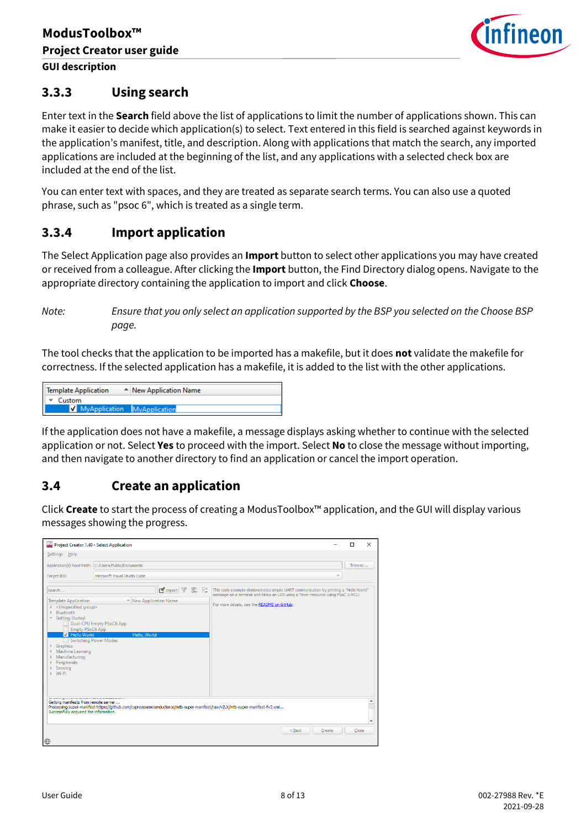

# <span id="page-7-1"></span>**3.3.3 Using search**

Enter text in the **Search** field above the list of applications to limit the number of applications shown. This can make it easier to decide which application(s) to select. Text entered in this field is searched against keywords in the application's manifest, title, and description. Along with applications that match the search, any imported applications are included at the beginning of the list, and any applications with a selected check box are included at the end of the list.

You can enter text with spaces, and they are treated as separate search terms. You can also use a quoted phrase, such as "psoc 6", which is treated as a single term.

# <span id="page-7-2"></span>**3.3.4 Import application**

The Select Application page also provides an **Import** button to select other applications you may have created or received from a colleague. After clicking the **Import** button, the Find Directory dialog opens. Navigate to the appropriate directory containing the application to import and click **Choose**.

*Note: Ensure that you only select an application supported by the BSP you selected on the Choose BSP page.*

The tool checks that the application to be imported has a makefile, but it does **not** validate the makefile for correctness. If the selected application has a makefile, it is added to the list with the other applications.

| Template Application<br>← New Application Name |  |  |
|------------------------------------------------|--|--|
| Custom<br>⊪≖                                   |  |  |
| MyApplication MyApplication                    |  |  |

If the application does not have a makefile, a message displays asking whether to continue with the selected application or not. Select **Yes** to proceed with the import. Select **No** to close the message without importing, and then navigate to another directory to find an application or cancel the import operation.

# <span id="page-7-0"></span>**3.4 Create an application**

Click **Create** to start the process of creating a ModusToolbox™ application, and the GUI will display various messages showing the progress.

| Settings Help                                                                                                                                                                                                                                                                                                                                   |                                                                                                                            |                                                                                                                                                                                                                         |
|-------------------------------------------------------------------------------------------------------------------------------------------------------------------------------------------------------------------------------------------------------------------------------------------------------------------------------------------------|----------------------------------------------------------------------------------------------------------------------------|-------------------------------------------------------------------------------------------------------------------------------------------------------------------------------------------------------------------------|
| Target IDE:                                                                                                                                                                                                                                                                                                                                     | Application(s) Root Path: C:/Users/Public/Documents<br>Microsoft Visual Studio Code                                        | Browse                                                                                                                                                                                                                  |
| Search<br><b>Template Application</b><br><unspecified group=""><br/><b>Bluetooth</b><br/><b>Getting Started</b><br/><math display="inline">\forall</math><br/><b>Empty PSoC6 App</b><br/><b>V</b> Hello World<br/>Switching Power Modes<br/>Graphics<br/>Machine Learning<br/>Manufacturing<br/>Peripherals<br/>Sensing<br/>Wi-Fi</unspecified> | $\blacksquare$ Import<br>ene<br>She<br>- New Application Name<br>Dual-CPU Empty PSoC6 App<br><b>Hello World</b>            | This code example demonstrates simple UART communication by printing a "Hello World"<br>message on a terminal and blinks an LED using a Timer resource using PSoC 6 MCU.<br>For more details, see the README on GitHub. |
| Getting manifests from remote server<br>Successfully acquired the information.                                                                                                                                                                                                                                                                  | Processing super-manifest https://github.com/cypresssemiconductorco/mtb-super-manifest/raw/v2.X/mtb-super-manifest-fv2.xml |                                                                                                                                                                                                                         |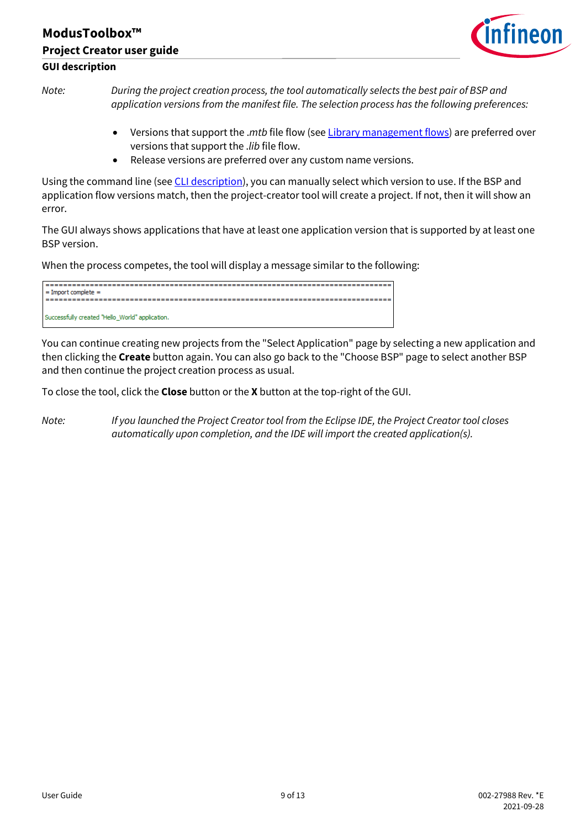# **ModusToolbox™ Project Creator user guide GUI description**



*Note: During the project creation process, the tool automatically selects the best pair of BSP and application versions from the manifest file. The selection process has the following preferences:*

- Versions that support the .*mtb* file flow (se[e Library management flows\)](#page-2-3) are preferred over versions that support the .*lib* file flow.
- Release versions are preferred over any custom name versions.

Using the command line (se[e CLI description\)](#page-9-0), you can manually select which version to use. If the BSP and application flow versions match, then the project-creator tool will create a project. If not, then it will show an error.

The GUI always shows applications that have at least one application version that is supported by at least one BSP version.

When the process competes, the tool will display a message similar to the following:

| $=$ Import complete $=$                         |
|-------------------------------------------------|
|                                                 |
|                                                 |
| Successfully created "Hello_World" application. |

You can continue creating new projects from the "Select Application" page by selecting a new application and then clicking the **Create** button again. You can also go back to the "Choose BSP" page to select another BSP and then continue the project creation process as usual.

To close the tool, click the **Close** button or the **X** button at the top-right of the GUI.

*Note: If you launched the Project Creator tool from the Eclipse IDE, the Project Creator tool closes automatically upon completion, and the IDE will import the created application(s).*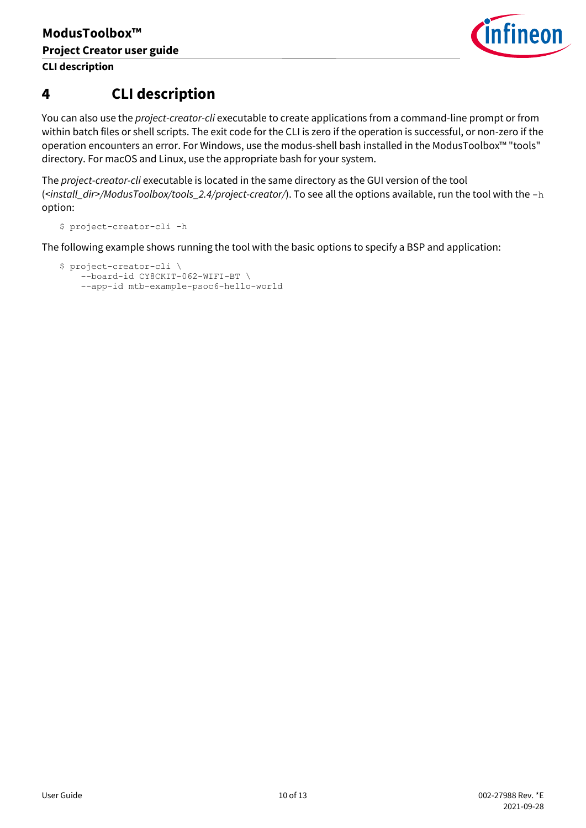

# <span id="page-9-0"></span>**4 CLI description**

You can also use the *project-creator-cli* executable to create applications from a command-line prompt or from within batch files or shell scripts. The exit code for the CLI is zero if the operation is successful, or non-zero if the operation encounters an error. For Windows, use the modus-shell bash installed in the ModusToolbox™ "tools" directory. For macOS and Linux, use the appropriate bash for your system.

The *project-creator-cli* executable is located in the same directory as the GUI version of the tool (*<install\_dir>/ModusToolbox/tools\_2.4/project-creator/*). To see all the options available, run the tool with the -h option:

\$ project-creator-cli -h

The following example shows running the tool with the basic options to specify a BSP and application:

```
$ project-creator-cli \
--board-id CY8CKIT-062-WIFI-BT \
--app-id mtb-example-psoc6-hello-world
```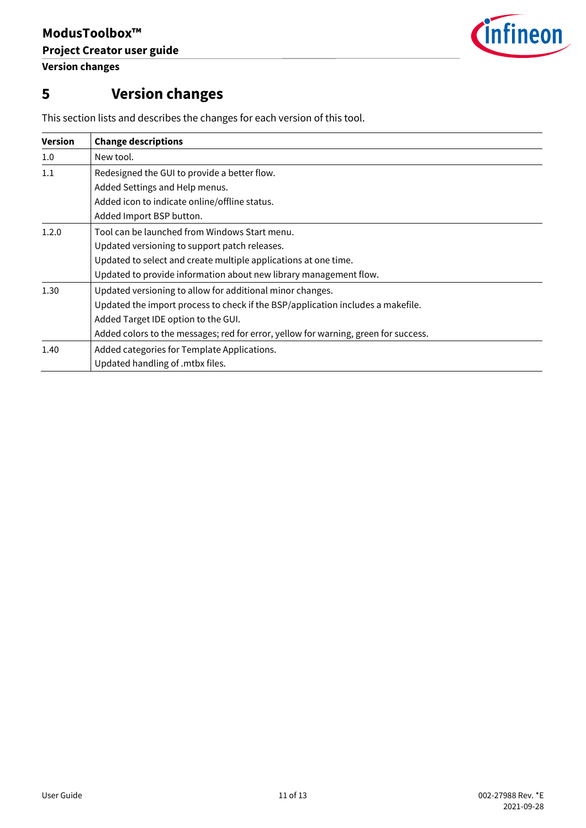

# <span id="page-10-0"></span>**5 Version changes**

| <b>Version</b> | <b>Change descriptions</b>                                                          |
|----------------|-------------------------------------------------------------------------------------|
| $1.0\,$        | New tool.                                                                           |
| 1.1            | Redesigned the GUI to provide a better flow.                                        |
|                | Added Settings and Help menus.                                                      |
|                | Added icon to indicate online/offline status.                                       |
|                | Added Import BSP button.                                                            |
| 1.2.0          | Tool can be launched from Windows Start menu.                                       |
|                | Updated versioning to support patch releases.                                       |
|                | Updated to select and create multiple applications at one time.                     |
|                | Updated to provide information about new library management flow.                   |
| 1.30           | Updated versioning to allow for additional minor changes.                           |
|                | Updated the import process to check if the BSP/application includes a makefile.     |
|                | Added Target IDE option to the GUI.                                                 |
|                | Added colors to the messages; red for error, yellow for warning, green for success. |
| 1.40           | Added categories for Template Applications.                                         |
|                | Updated handling of .mtbx files.                                                    |

This section lists and describes the changes for each version of this tool.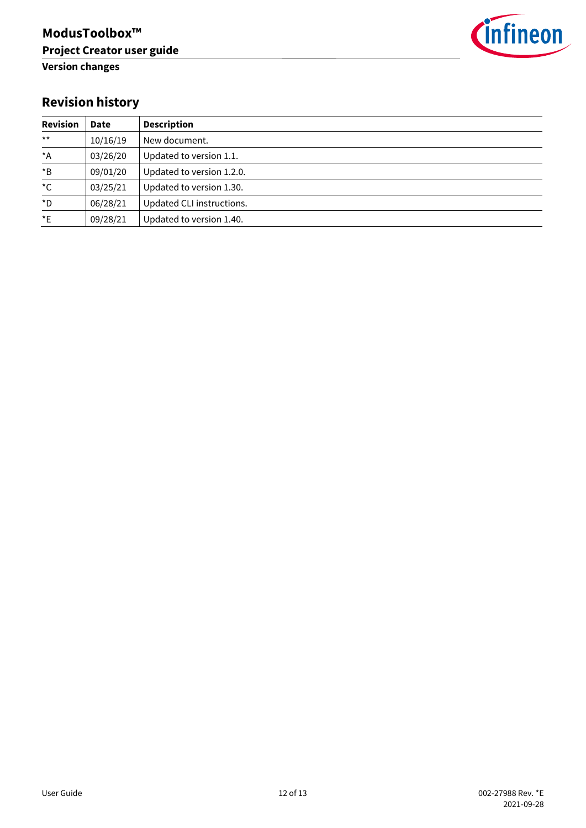

# **Revision history**

| <b>Revision</b>  | <b>Date</b> | <b>Description</b>        |
|------------------|-------------|---------------------------|
| $***$            | 10/16/19    | New document.             |
| $^{\star}$ A     | 03/26/20    | Updated to version 1.1.   |
| $*_{\mathsf{B}}$ | 09/01/20    | Updated to version 1.2.0. |
| $^{\star}$ C     | 03/25/21    | Updated to version 1.30.  |
| $\star$ D        | 06/28/21    | Updated CLI instructions. |
| $*_{E}$          | 09/28/21    | Updated to version 1.40.  |